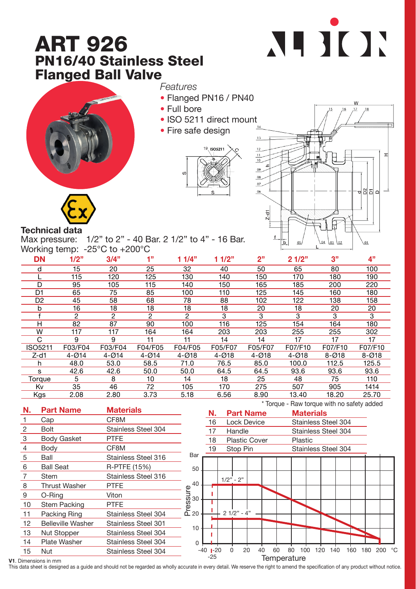## ART 926 PN16/40 Stainless Steel Flanged Ball Valve





## *Features*

- Flanged PN16 / PN40
- Full bore
- ISO 5211 direct mount
- Fire safe design





## Technical data

Max pressure: 1/2" to 2" - 40 Bar. 2 1/2" to 4" - 16 Bar. Working temp: -25°C to +200°C

| <b>DN</b>      | 1/2"      | 3/4"      | 1"             | 11/4"     | 11/2"     | 2"        | 21/2"     | 3"        | 4"        |
|----------------|-----------|-----------|----------------|-----------|-----------|-----------|-----------|-----------|-----------|
| d              | 15        | 20        | 25             | 32        | 40        | 50        | 65        | 80        | 100       |
|                | 115       | 120       | 125            | 130       | 140       | 150       | 170       | 180       | 190       |
| D              | 95        | 105       | 115            | 140       | 150       | 165       | 185       | 200       | 220       |
| D <sub>1</sub> | 65        | 75        | 85             | 100       | 110       | 125       | 145       | 160       | 180       |
| D <sub>2</sub> | 45        | 58        | 68             | 78        | 88        | 102       | 122       | 138       | 158       |
| b              | 16        | 18        | 18             | 18        | 18        | 20        | 18        | 20        | 20        |
|                | 2         | 2         | $\overline{c}$ | 2         | 3         | 3         | 3         | 3         | 3         |
| н              | 82        | 87        | 90             | 100       | 116       | 125       | 154       | 164       | 180       |
| W              | 117       | 117       | 164            | 164       | 203       | 203       | 255       | 255       | 302       |
| C              | 9         | 9         | 11             | 11        | 14        | 14        | 17        | 17        | 17        |
| ISO5211        | F03/F04   | F03/F04   | F04/F05        | F04/F05   | F05/F07   | F05/F07   | F07/F10   | F07/F10   | F07/F10   |
| $Z-d1$         | $4 - Ø14$ | $4 - 014$ | $4 - Ø14$      | $4 - Ø18$ | $4 - Ø18$ | $4 - Ø18$ | $4 - Ø18$ | $8 - Ø18$ | $8 - Ø18$ |
| h              | 48.0      | 53.0      | 58.5           | 71.0      | 76.5      | 85.0      | 100.0     | 112.5     | 125.5     |
| s              | 42.6      | 42.6      | 50.0           | 50.0      | 64.5      | 64.5      | 93.6      | 93.6      | 93.6      |
| Torque         | 5         | 8         | 10             | 14        | 18        | 25        | 48        | 75        | 110       |
| Κv             | 35        | 46        | 72             | 105       | 170       | 275       | 507       | 905       | 1414      |
| Kgs            | 2.08      | 2.80      | 3.73           | 5.18      | 6.56      | 8.90      | 13.40     | 18.20     | 25.70     |



V1. Dimensions in mm

This data sheet is designed as a quide and should not be regarded as wholly accurate in every detail. We reserve the right to amend the specification of any product without notice.